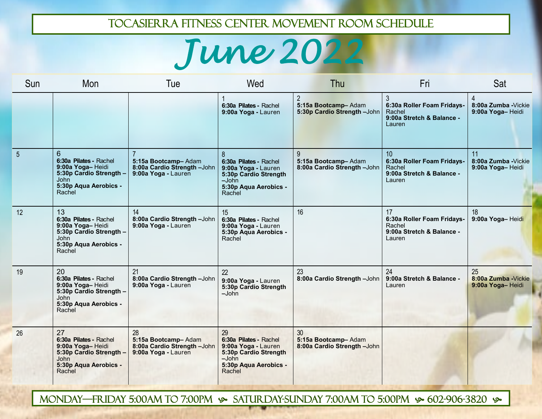## Tocasierra fitness center movement room schedule

## *June 2022*

| Sun            | Mon                                                                                                                    | Tue                                                                             | Wed                                                                                                                        | Thu                                                                  | Fri                                                                               | Sat                                            |
|----------------|------------------------------------------------------------------------------------------------------------------------|---------------------------------------------------------------------------------|----------------------------------------------------------------------------------------------------------------------------|----------------------------------------------------------------------|-----------------------------------------------------------------------------------|------------------------------------------------|
|                |                                                                                                                        |                                                                                 | 6:30a Pilates - Rachel<br>9:00a Yoga - Lauren                                                                              | $\overline{2}$<br>5:15a Bootcamp-Adam<br>5:30p Cardio Strength -John | 6:30a Roller Foam Fridays-<br>Rachel<br>9:00a Stretch & Balance -<br>Lauren       | 4<br>8:00a Zumba - Vickie<br>9:00a Yoga-Heidi  |
| $\overline{5}$ | 6<br>6:30a Pilates - Rachel<br>9:00a Yoga-Heidi<br>5:30p Cardio Strength -<br>John<br>5:30p Aqua Aerobics -<br>Rachel  | 5:15a Bootcamp-Adam<br>8:00a Cardio Strength -John<br>9:00a Yoga - Lauren       | 8<br>6:30a Pilates - Rachel<br>9:00a Yoga - Lauren<br>5:30p Cardio Strength<br>$-John$<br>5:30p Aqua Aerobics -<br>Rachel  | 9<br>5:15a Bootcamp-Adam<br>8:00a Cardio Strength -John              | 10<br>6:30a Roller Foam Fridays-<br>Rachel<br>9:00a Stretch & Balance -<br>Lauren | 11<br>8:00a Zumba - Vickie<br>9:00a Yoga-Heidi |
| 12             | 13<br>6:30a Pilates - Rachel<br>9:00a Yoga-Heidi<br>5:30p Cardio Strength -<br>John<br>5:30p Aqua Aerobics -<br>Rachel | 14<br>8:00a Cardio Strength -John<br>9:00a Yoga - Lauren                        | 15<br>6:30a Pilates - Rachel<br>9:00a Yoga - Lauren<br>5:30p Aqua Aerobics -<br>Rachel                                     | 16                                                                   | 17<br>6:30a Roller Foam Fridays-<br>Rachel<br>9:00a Stretch & Balance -<br>Lauren | 18<br>9:00a Yoga-Heidi                         |
| 19             | 20<br>6:30a Pilates - Rachel<br>9:00a Yoga-Heidi<br>5:30p Cardio Strength -<br>John<br>5:30p Aqua Aerobics -<br>Rachel | 21<br>8:00a Cardio Strength -John<br>9:00a Yoga - Lauren                        | 22<br>9:00a Yoga - Lauren<br>5:30p Cardio Strength<br>$-John$                                                              | 23<br>8:00a Cardio Strength-John                                     | 24<br>9:00a Stretch & Balance -<br>Lauren                                         | 25<br>8:00a Zumba - Vickie<br>9:00a Yoga-Heidi |
| 26             | 27<br>6:30a Pilates - Rachel<br>9:00a Yoga-Heidi<br>5:30p Cardio Strength -<br>John<br>5:30p Aqua Aerobics -<br>Rachel | 28<br>5:15a Bootcamp-Adam<br>8:00a Cardio Strength -John<br>9:00a Yoga - Lauren | 29<br>6:30a Pilates - Rachel<br>9:00a Yoga - Lauren<br>5:30p Cardio Strength<br>$-John$<br>5:30p Aqua Aerobics -<br>Rachel | 30<br>5:15a Bootcamp-Adam<br>8:00a Cardio Strength -John             |                                                                                   |                                                |

MONDAY—FRIDAY 5:00AM TO 7:00PM  $\bullet\$  SATURDAY-SUNDAY 7:00AM TO 5:00PM  $\bullet\$  602-906-3820  $\bullet\$